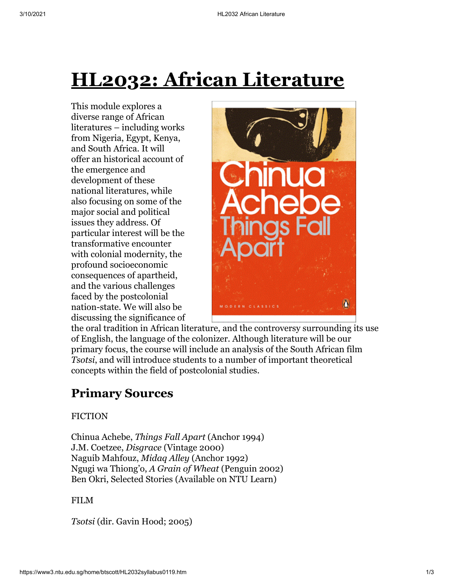# **HL2032: African Literature**

This module explores a diverse range of African literatures – including works from Nigeria, Egypt, Kenya, and South Africa. It will offer an historical account of the emergence and development of these national literatures, while also focusing on some of the major social and political issues they address. Of particular interest will be the transformative encounter with colonial modernity, the profound socioeconomic consequences of apartheid, and the various challenges faced by the postcolonial nation-state. We will also be discussing the significance of



the oral tradition in African literature, and the controversy surrounding its use of English, the language of the colonizer. Although literature will be our primary focus, the course will include an analysis of the South African film *Tsotsi*, and will introduce students to a number of important theoretical concepts within the field of postcolonial studies.

# **Primary Sources**

#### **FICTION**

Chinua Achebe, *Things Fall Apart* (Anchor 1994) J.M. Coetzee, *Disgrace* (Vintage 2000) Naguib Mahfouz, *Midaq Alley* (Anchor 1992) Ngugi wa Thiong'o, *A Grain of Wheat* (Penguin 2002) Ben Okri, Selected Stories (Available on NTU Learn)

#### FILM

*Tsotsi* (dir. Gavin Hood; 2005)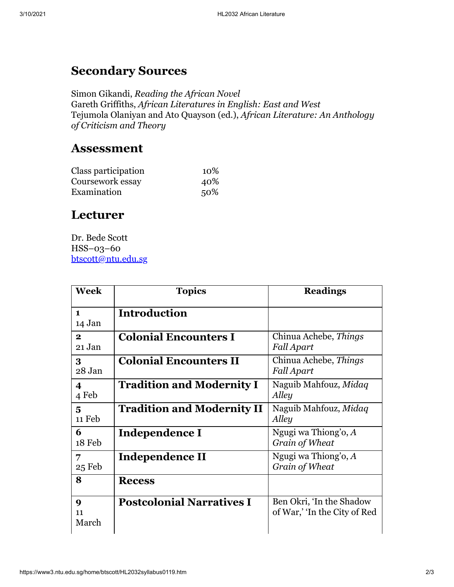## **Secondary Sources**

Simon Gikandi, *Reading the African Novel* Gareth Griffiths, *African Literatures in English: East and West* Tejumola Olaniyan and Ato Quayson (ed.), *African Literature: An Anthology of Criticism and Theory*

### **Assessment**

| Class participation | 10% |
|---------------------|-----|
| Coursework essay    | 40% |
| Examination         | 50% |

## **Lecturer**

Dr. Bede Scott HSS–03–60 [btscott@ntu.edu.sg](mailto:btscott@ntu.edu.sg)

| <b>Week</b>                     | <b>Topics</b>                     | <b>Readings</b>                                          |
|---------------------------------|-----------------------------------|----------------------------------------------------------|
| $\blacksquare$<br>14 Jan        | <b>Introduction</b>               |                                                          |
| $\mathbf{2}$<br>21 Jan          | <b>Colonial Encounters I</b>      | Chinua Achebe, Things<br><b>Fall Apart</b>               |
| 3<br>28 Jan                     | <b>Colonial Encounters II</b>     | Chinua Achebe, Things<br><b>Fall Apart</b>               |
| 4<br>4 Feb                      | <b>Tradition and Modernity I</b>  | Naguib Mahfouz, Midaq<br>Alley                           |
| 5<br>11 Feb                     | <b>Tradition and Modernity II</b> | Naguib Mahfouz, Midaq<br>Alley                           |
| 6<br>18 Feb                     | Independence I                    | Ngugi wa Thiong'o, $A$<br>Grain of Wheat                 |
| 7<br>25 Feb                     | Independence II                   | Ngugi wa Thiong'o, $A$<br>Grain of Wheat                 |
| 8                               | <b>Recess</b>                     |                                                          |
| $\boldsymbol{Q}$<br>11<br>March | <b>Postcolonial Narratives I</b>  | Ben Okri, 'In the Shadow<br>of War,' 'In the City of Red |